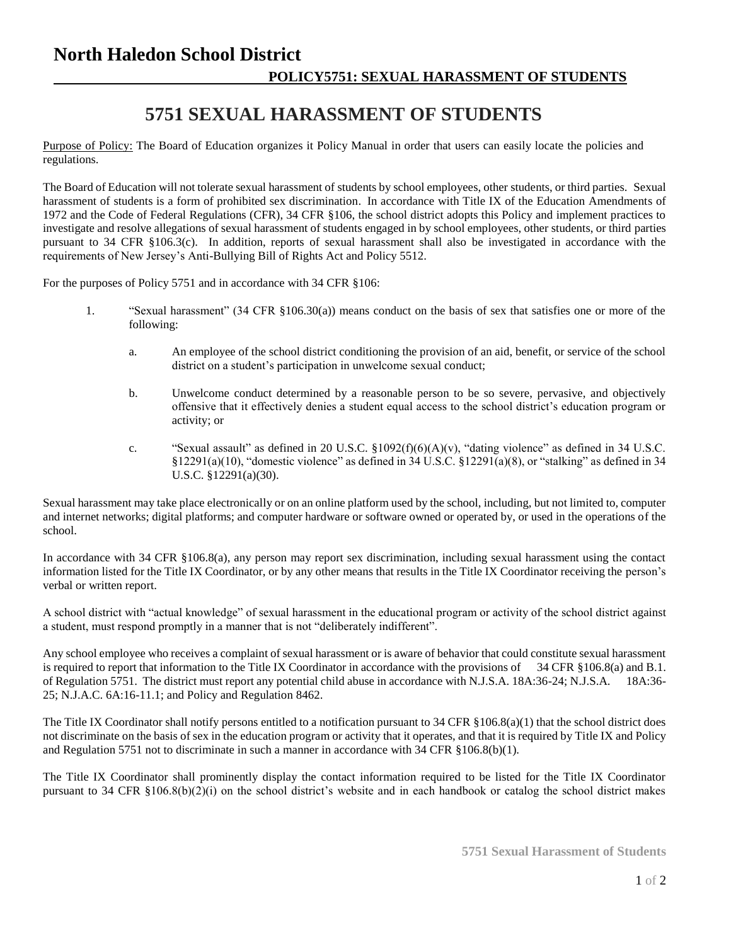## **North Haledon School District POLICY5751: SEXUAL HARASSMENT OF STUDENTS**

## **5751 SEXUAL HARASSMENT OF STUDENTS**

Purpose of Policy: The Board of Education organizes it Policy Manual in order that users can easily locate the policies and regulations.

The Board of Education will not tolerate sexual harassment of students by school employees, other students, or third parties. Sexual harassment of students is a form of prohibited sex discrimination. In accordance with Title IX of the Education Amendments of 1972 and the Code of Federal Regulations (CFR), 34 CFR §106, the school district adopts this Policy and implement practices to investigate and resolve allegations of sexual harassment of students engaged in by school employees, other students, or third parties pursuant to 34 CFR §106.3(c). In addition, reports of sexual harassment shall also be investigated in accordance with the requirements of New Jersey's Anti-Bullying Bill of Rights Act and Policy 5512.

For the purposes of Policy 5751 and in accordance with 34 CFR §106:

- 1. "Sexual harassment" (34 CFR §106.30(a)) means conduct on the basis of sex that satisfies one or more of the following:
	- a. An employee of the school district conditioning the provision of an aid, benefit, or service of the school district on a student's participation in unwelcome sexual conduct;
	- b. Unwelcome conduct determined by a reasonable person to be so severe, pervasive, and objectively offensive that it effectively denies a student equal access to the school district's education program or activity; or
	- c. "Sexual assault" as defined in 20 U.S.C.  $\S 1092(f)(6)(A)(v)$ , "dating violence" as defined in 34 U.S.C.  $§12291(a)(10)$ , "domestic violence" as defined in 34 U.S.C.  $§12291(a)(8)$ , or "stalking" as defined in 34 U.S.C. §12291(a)(30).

Sexual harassment may take place electronically or on an online platform used by the school, including, but not limited to, computer and internet networks; digital platforms; and computer hardware or software owned or operated by, or used in the operations of the school.

In accordance with 34 CFR §106.8(a), any person may report sex discrimination, including sexual harassment using the contact information listed for the Title IX Coordinator, or by any other means that results in the Title IX Coordinator receiving the person's verbal or written report.

A school district with "actual knowledge" of sexual harassment in the educational program or activity of the school district against a student, must respond promptly in a manner that is not "deliberately indifferent".

Any school employee who receives a complaint of sexual harassment or is aware of behavior that could constitute sexual harassment is required to report that information to the Title IX Coordinator in accordance with the provisions of 34 CFR §106.8(a) and B.1. of Regulation 5751. The district must report any potential child abuse in accordance with N.J.S.A. 18A:36-24; N.J.S.A. 18A:36- 25; N.J.A.C. 6A:16-11.1; and Policy and Regulation 8462.

The Title IX Coordinator shall notify persons entitled to a notification pursuant to 34 CFR §106.8(a)(1) that the school district does not discriminate on the basis of sex in the education program or activity that it operates, and that it is required by Title IX and Policy and Regulation 5751 not to discriminate in such a manner in accordance with 34 CFR §106.8(b)(1).

The Title IX Coordinator shall prominently display the contact information required to be listed for the Title IX Coordinator pursuant to 34 CFR §106.8(b)(2)(i) on the school district's website and in each handbook or catalog the school district makes